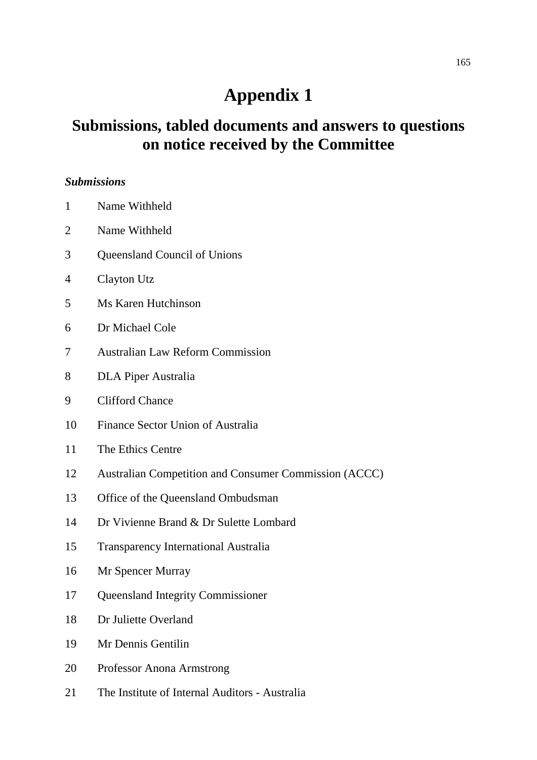# **Appendix 1**

## **Submissions, tabled documents and answers to questions on notice received by the Committee**

#### *Submissions*

- 1 Name Withheld
- 2 Name Withheld
- 3 Queensland Council of Unions
- 4 Clayton Utz
- 5 Ms Karen Hutchinson
- 6 Dr Michael Cole
- 7 Australian Law Reform Commission
- 8 DLA Piper Australia
- 9 Clifford Chance
- 10 Finance Sector Union of Australia
- 11 The Ethics Centre
- 12 Australian Competition and Consumer Commission (ACCC)
- 13 Office of the Queensland Ombudsman
- 14 Dr Vivienne Brand & Dr Sulette Lombard
- 15 Transparency International Australia
- 16 Mr Spencer Murray
- 17 Queensland Integrity Commissioner
- 18 Dr Juliette Overland
- 19 Mr Dennis Gentilin
- 20 Professor Anona Armstrong
- 21 The Institute of Internal Auditors Australia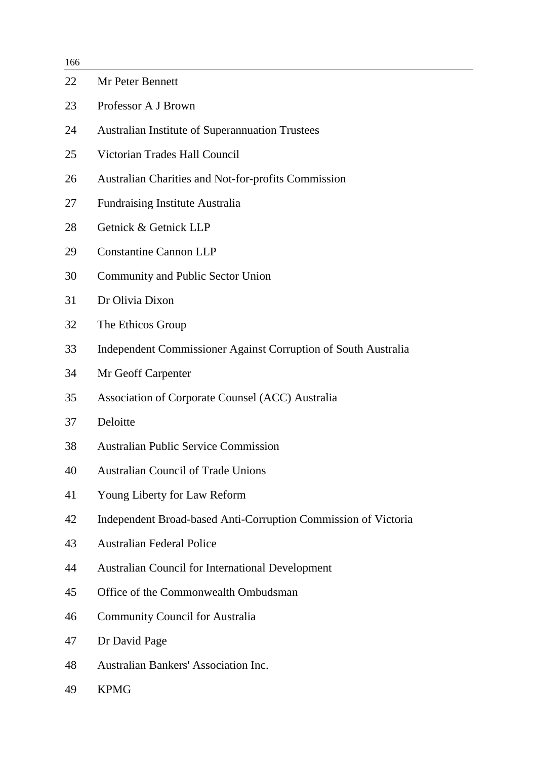| 166 |                                                                |
|-----|----------------------------------------------------------------|
| 22  | Mr Peter Bennett                                               |
| 23  | Professor A J Brown                                            |
| 24  | <b>Australian Institute of Superannuation Trustees</b>         |
| 25  | Victorian Trades Hall Council                                  |
| 26  | <b>Australian Charities and Not-for-profits Commission</b>     |
| 27  | <b>Fundraising Institute Australia</b>                         |
| 28  | Getnick & Getnick LLP                                          |
| 29  | <b>Constantine Cannon LLP</b>                                  |
| 30  | Community and Public Sector Union                              |
| 31  | Dr Olivia Dixon                                                |
| 32  | The Ethicos Group                                              |
| 33  | Independent Commissioner Against Corruption of South Australia |
| 34  | Mr Geoff Carpenter                                             |
| 35  | Association of Corporate Counsel (ACC) Australia               |
| 37  | Deloitte                                                       |
| 38  | <b>Australian Public Service Commission</b>                    |
| 40  | <b>Australian Council of Trade Unions</b>                      |
| 41  | Young Liberty for Law Reform                                   |
| 42  | Independent Broad-based Anti-Corruption Commission of Victoria |
| 43  | <b>Australian Federal Police</b>                               |
| 44  | <b>Australian Council for International Development</b>        |
| 45  | Office of the Commonwealth Ombudsman                           |
| 46  | <b>Community Council for Australia</b>                         |
| 47  | Dr David Page                                                  |
| 48  | <b>Australian Bankers' Association Inc.</b>                    |
| 49  | <b>KPMG</b>                                                    |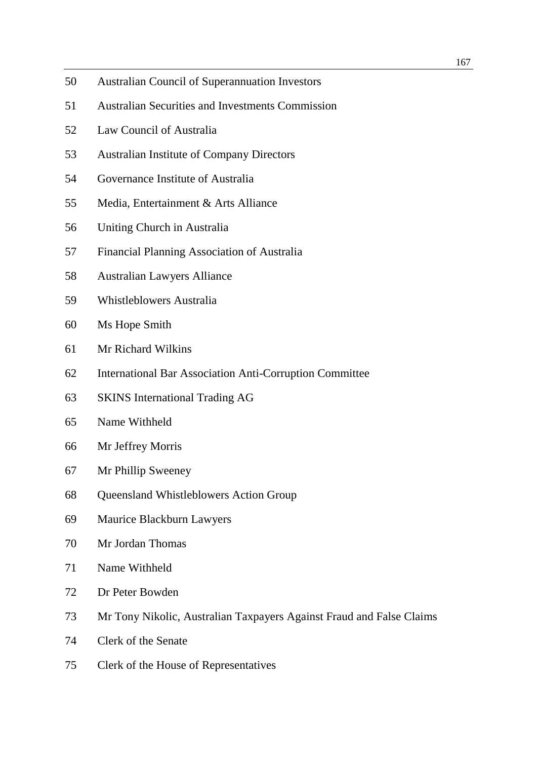- 50 Australian Council of Superannuation Investors
- 51 Australian Securities and Investments Commission
- 52 Law Council of Australia
- 53 Australian Institute of Company Directors
- 54 Governance Institute of Australia
- 55 Media, Entertainment & Arts Alliance
- 56 Uniting Church in Australia
- 57 Financial Planning Association of Australia
- 58 Australian Lawyers Alliance
- 59 Whistleblowers Australia
- 60 Ms Hope Smith
- 61 Mr Richard Wilkins
- 62 International Bar Association Anti-Corruption Committee
- 63 SKINS International Trading AG
- 65 Name Withheld
- 66 Mr Jeffrey Morris
- 67 Mr Phillip Sweeney
- 68 Queensland Whistleblowers Action Group
- 69 Maurice Blackburn Lawyers
- 70 Mr Jordan Thomas
- 71 Name Withheld
- 72 Dr Peter Bowden
- 73 Mr Tony Nikolic, Australian Taxpayers Against Fraud and False Claims
- 74 Clerk of the Senate
- 75 Clerk of the House of Representatives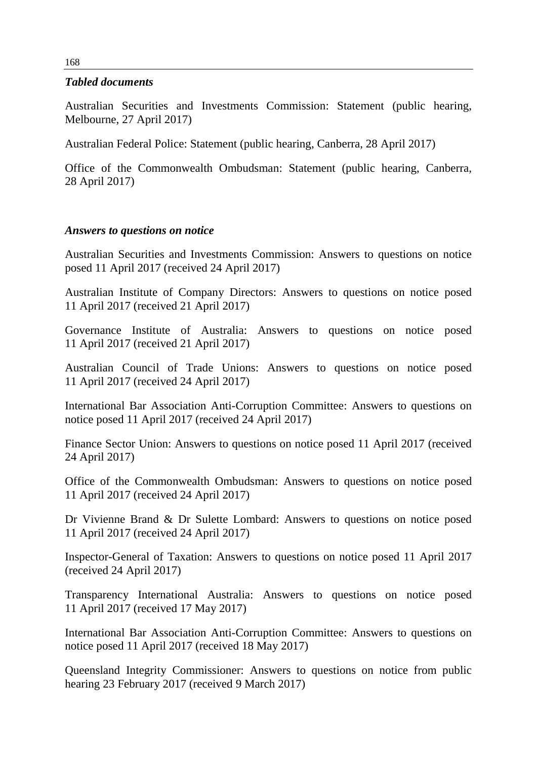#### *Tabled documents*

Australian Securities and Investments Commission: Statement (public hearing, Melbourne, 27 April 2017)

Australian Federal Police: Statement (public hearing, Canberra, 28 April 2017)

Office of the Commonwealth Ombudsman: Statement (public hearing, Canberra, 28 April 2017)

### *Answers to questions on notice*

Australian Securities and Investments Commission: Answers to questions on notice posed 11 April 2017 (received 24 April 2017)

Australian Institute of Company Directors: Answers to questions on notice posed 11 April 2017 (received 21 April 2017)

Governance Institute of Australia: Answers to questions on notice posed 11 April 2017 (received 21 April 2017)

Australian Council of Trade Unions: Answers to questions on notice posed 11 April 2017 (received 24 April 2017)

International Bar Association Anti-Corruption Committee: Answers to questions on notice posed 11 April 2017 (received 24 April 2017)

Finance Sector Union: Answers to questions on notice posed 11 April 2017 (received 24 April 2017)

Office of the Commonwealth Ombudsman: Answers to questions on notice posed 11 April 2017 (received 24 April 2017)

Dr Vivienne Brand & Dr Sulette Lombard: Answers to questions on notice posed 11 April 2017 (received 24 April 2017)

Inspector-General of Taxation: Answers to questions on notice posed 11 April 2017 (received 24 April 2017)

Transparency International Australia: Answers to questions on notice posed 11 April 2017 (received 17 May 2017)

International Bar Association Anti-Corruption Committee: Answers to questions on notice posed 11 April 2017 (received 18 May 2017)

Queensland Integrity Commissioner: Answers to questions on notice from public hearing 23 February 2017 (received 9 March 2017)

168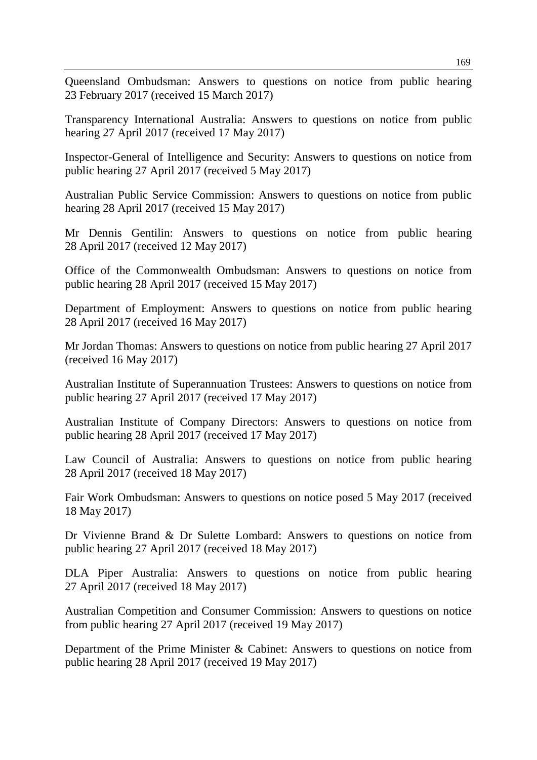Queensland Ombudsman: Answers to questions on notice from public hearing 23 February 2017 (received 15 March 2017)

Transparency International Australia: Answers to questions on notice from public hearing 27 April 2017 (received 17 May 2017)

Inspector-General of Intelligence and Security: Answers to questions on notice from public hearing 27 April 2017 (received 5 May 2017)

Australian Public Service Commission: Answers to questions on notice from public hearing 28 April 2017 (received 15 May 2017)

Mr Dennis Gentilin: Answers to questions on notice from public hearing 28 April 2017 (received 12 May 2017)

Office of the Commonwealth Ombudsman: Answers to questions on notice from public hearing 28 April 2017 (received 15 May 2017)

Department of Employment: Answers to questions on notice from public hearing 28 April 2017 (received 16 May 2017)

Mr Jordan Thomas: Answers to questions on notice from public hearing 27 April 2017 (received 16 May 2017)

Australian Institute of Superannuation Trustees: Answers to questions on notice from public hearing 27 April 2017 (received 17 May 2017)

Australian Institute of Company Directors: Answers to questions on notice from public hearing 28 April 2017 (received 17 May 2017)

Law Council of Australia: Answers to questions on notice from public hearing 28 April 2017 (received 18 May 2017)

Fair Work Ombudsman: Answers to questions on notice posed 5 May 2017 (received 18 May 2017)

Dr Vivienne Brand & Dr Sulette Lombard: Answers to questions on notice from public hearing 27 April 2017 (received 18 May 2017)

DLA Piper Australia: Answers to questions on notice from public hearing 27 April 2017 (received 18 May 2017)

Australian Competition and Consumer Commission: Answers to questions on notice from public hearing 27 April 2017 (received 19 May 2017)

Department of the Prime Minister & Cabinet: Answers to questions on notice from public hearing 28 April 2017 (received 19 May 2017)